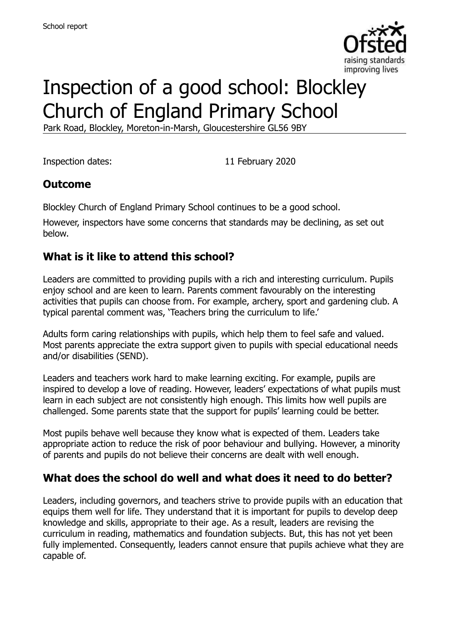

# Inspection of a good school: Blockley Church of England Primary School

Park Road, Blockley, Moreton-in-Marsh, Gloucestershire GL56 9BY

Inspection dates: 11 February 2020

# **Outcome**

Blockley Church of England Primary School continues to be a good school.

However, inspectors have some concerns that standards may be declining, as set out below.

# **What is it like to attend this school?**

Leaders are committed to providing pupils with a rich and interesting curriculum. Pupils enjoy school and are keen to learn. Parents comment favourably on the interesting activities that pupils can choose from. For example, archery, sport and gardening club. A typical parental comment was, 'Teachers bring the curriculum to life.'

Adults form caring relationships with pupils, which help them to feel safe and valued. Most parents appreciate the extra support given to pupils with special educational needs and/or disabilities (SEND).

Leaders and teachers work hard to make learning exciting. For example, pupils are inspired to develop a love of reading. However, leaders' expectations of what pupils must learn in each subject are not consistently high enough. This limits how well pupils are challenged. Some parents state that the support for pupils' learning could be better.

Most pupils behave well because they know what is expected of them. Leaders take appropriate action to reduce the risk of poor behaviour and bullying. However, a minority of parents and pupils do not believe their concerns are dealt with well enough.

### **What does the school do well and what does it need to do better?**

Leaders, including governors, and teachers strive to provide pupils with an education that equips them well for life. They understand that it is important for pupils to develop deep knowledge and skills, appropriate to their age. As a result, leaders are revising the curriculum in reading, mathematics and foundation subjects. But, this has not yet been fully implemented. Consequently, leaders cannot ensure that pupils achieve what they are capable of.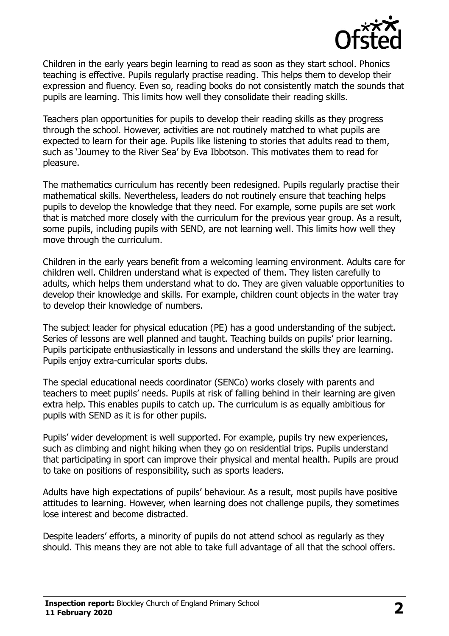

Children in the early years begin learning to read as soon as they start school. Phonics teaching is effective. Pupils regularly practise reading. This helps them to develop their expression and fluency. Even so, reading books do not consistently match the sounds that pupils are learning. This limits how well they consolidate their reading skills.

Teachers plan opportunities for pupils to develop their reading skills as they progress through the school. However, activities are not routinely matched to what pupils are expected to learn for their age. Pupils like listening to stories that adults read to them, such as 'Journey to the River Sea' by Eva Ibbotson. This motivates them to read for pleasure.

The mathematics curriculum has recently been redesigned. Pupils regularly practise their mathematical skills. Nevertheless, leaders do not routinely ensure that teaching helps pupils to develop the knowledge that they need. For example, some pupils are set work that is matched more closely with the curriculum for the previous year group. As a result, some pupils, including pupils with SEND, are not learning well. This limits how well they move through the curriculum.

Children in the early years benefit from a welcoming learning environment. Adults care for children well. Children understand what is expected of them. They listen carefully to adults, which helps them understand what to do. They are given valuable opportunities to develop their knowledge and skills. For example, children count objects in the water tray to develop their knowledge of numbers.

The subject leader for physical education (PE) has a good understanding of the subject. Series of lessons are well planned and taught. Teaching builds on pupils' prior learning. Pupils participate enthusiastically in lessons and understand the skills they are learning. Pupils enjoy extra-curricular sports clubs.

The special educational needs coordinator (SENCo) works closely with parents and teachers to meet pupils' needs. Pupils at risk of falling behind in their learning are given extra help. This enables pupils to catch up. The curriculum is as equally ambitious for pupils with SEND as it is for other pupils.

Pupils' wider development is well supported. For example, pupils try new experiences, such as climbing and night hiking when they go on residential trips. Pupils understand that participating in sport can improve their physical and mental health. Pupils are proud to take on positions of responsibility, such as sports leaders.

Adults have high expectations of pupils' behaviour. As a result, most pupils have positive attitudes to learning. However, when learning does not challenge pupils, they sometimes lose interest and become distracted.

Despite leaders' efforts, a minority of pupils do not attend school as regularly as they should. This means they are not able to take full advantage of all that the school offers.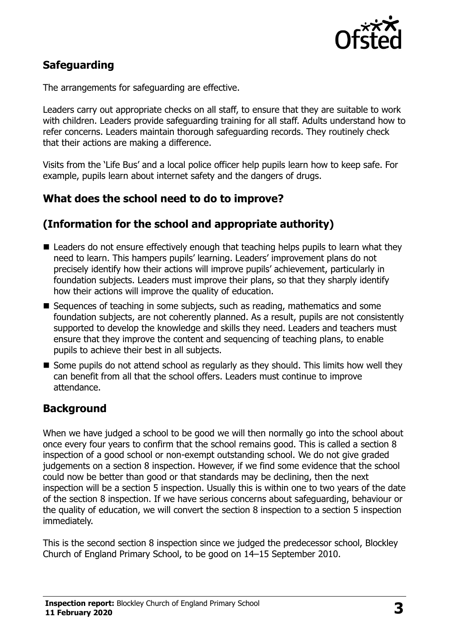

# **Safeguarding**

The arrangements for safeguarding are effective.

Leaders carry out appropriate checks on all staff, to ensure that they are suitable to work with children. Leaders provide safeguarding training for all staff. Adults understand how to refer concerns. Leaders maintain thorough safeguarding records. They routinely check that their actions are making a difference.

Visits from the 'Life Bus' and a local police officer help pupils learn how to keep safe. For example, pupils learn about internet safety and the dangers of drugs.

### **What does the school need to do to improve?**

#### **(Information for the school and appropriate authority)**

- Leaders do not ensure effectively enough that teaching helps pupils to learn what they need to learn. This hampers pupils' learning. Leaders' improvement plans do not precisely identify how their actions will improve pupils' achievement, particularly in foundation subjects. Leaders must improve their plans, so that they sharply identify how their actions will improve the quality of education.
- Sequences of teaching in some subjects, such as reading, mathematics and some foundation subjects, are not coherently planned. As a result, pupils are not consistently supported to develop the knowledge and skills they need. Leaders and teachers must ensure that they improve the content and sequencing of teaching plans, to enable pupils to achieve their best in all subjects.
- $\blacksquare$  Some pupils do not attend school as regularly as they should. This limits how well they can benefit from all that the school offers. Leaders must continue to improve attendance.

### **Background**

When we have judged a school to be good we will then normally go into the school about once every four years to confirm that the school remains good. This is called a section 8 inspection of a good school or non-exempt outstanding school. We do not give graded judgements on a section 8 inspection. However, if we find some evidence that the school could now be better than good or that standards may be declining, then the next inspection will be a section 5 inspection. Usually this is within one to two years of the date of the section 8 inspection. If we have serious concerns about safeguarding, behaviour or the quality of education, we will convert the section 8 inspection to a section 5 inspection immediately.

This is the second section 8 inspection since we judged the predecessor school, Blockley Church of England Primary School, to be good on 14–15 September 2010.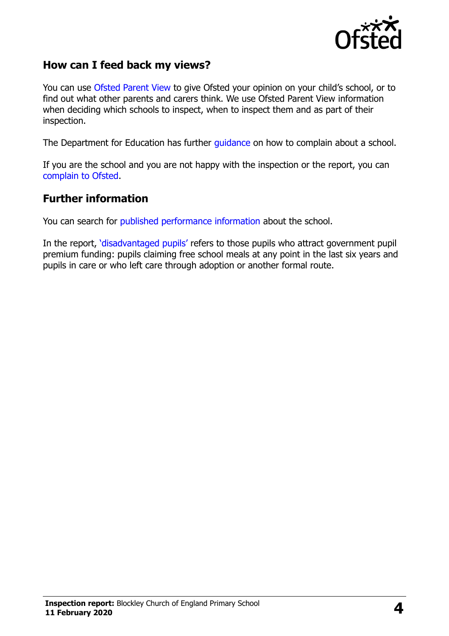

#### **How can I feed back my views?**

You can use [Ofsted Parent View](https://parentview.ofsted.gov.uk/) to give Ofsted your opinion on your child's school, or to find out what other parents and carers think. We use Ofsted Parent View information when deciding which schools to inspect, when to inspect them and as part of their inspection.

The Department for Education has further [guidance](http://www.gov.uk/complain-about-school) on how to complain about a school.

If you are the school and you are not happy with the inspection or the report, you can [complain to Ofsted.](https://www.gov.uk/complain-ofsted-report)

#### **Further information**

You can search for [published performance information](http://www.compare-school-performance.service.gov.uk/) about the school.

In the report, '[disadvantaged pupils](http://www.gov.uk/guidance/pupil-premium-information-for-schools-and-alternative-provision-settings)' refers to those pupils who attract government pupil premium funding: pupils claiming free school meals at any point in the last six years and pupils in care or who left care through adoption or another formal route.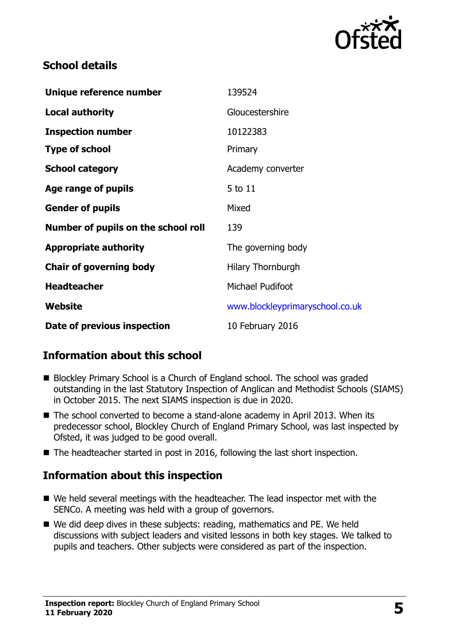

# **School details**

| Unique reference number             | 139524                          |
|-------------------------------------|---------------------------------|
| <b>Local authority</b>              | Gloucestershire                 |
| <b>Inspection number</b>            | 10122383                        |
| <b>Type of school</b>               | Primary                         |
| <b>School category</b>              | Academy converter               |
| Age range of pupils                 | 5 to 11                         |
| <b>Gender of pupils</b>             | Mixed                           |
| Number of pupils on the school roll | 139                             |
| <b>Appropriate authority</b>        | The governing body              |
| <b>Chair of governing body</b>      | <b>Hilary Thornburgh</b>        |
| <b>Headteacher</b>                  | Michael Pudifoot                |
| Website                             | www.blockleyprimaryschool.co.uk |
| Date of previous inspection         | 10 February 2016                |

# **Information about this school**

- Blockley Primary School is a Church of England school. The school was graded outstanding in the last Statutory Inspection of Anglican and Methodist Schools (SIAMS) in October 2015. The next SIAMS inspection is due in 2020.
- The school converted to become a stand-alone academy in April 2013. When its predecessor school, Blockley Church of England Primary School, was last inspected by Ofsted, it was judged to be good overall.
- The headteacher started in post in 2016, following the last short inspection.

# **Information about this inspection**

- We held several meetings with the headteacher. The lead inspector met with the SENCo. A meeting was held with a group of governors.
- We did deep dives in these subjects: reading, mathematics and PE. We held discussions with subject leaders and visited lessons in both key stages. We talked to pupils and teachers. Other subjects were considered as part of the inspection.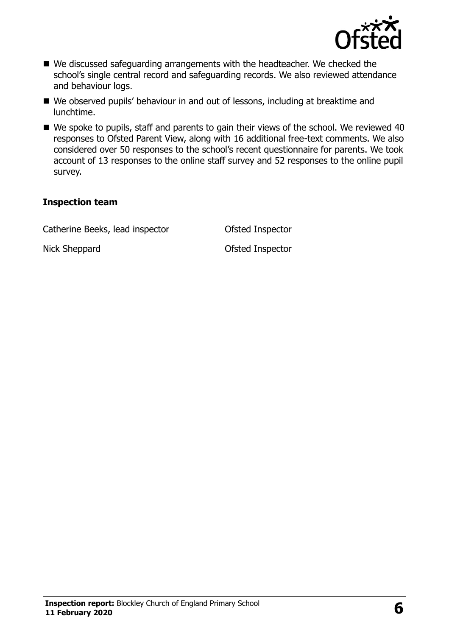

- We discussed safeguarding arrangements with the headteacher. We checked the school's single central record and safeguarding records. We also reviewed attendance and behaviour logs.
- We observed pupils' behaviour in and out of lessons, including at breaktime and lunchtime.
- We spoke to pupils, staff and parents to gain their views of the school. We reviewed 40 responses to Ofsted Parent View, along with 16 additional free-text comments. We also considered over 50 responses to the school's recent questionnaire for parents. We took account of 13 responses to the online staff survey and 52 responses to the online pupil survey.

#### **Inspection team**

Catherine Beeks, lead inspector Ofsted Inspector

Nick Sheppard **Ofsted Inspector**